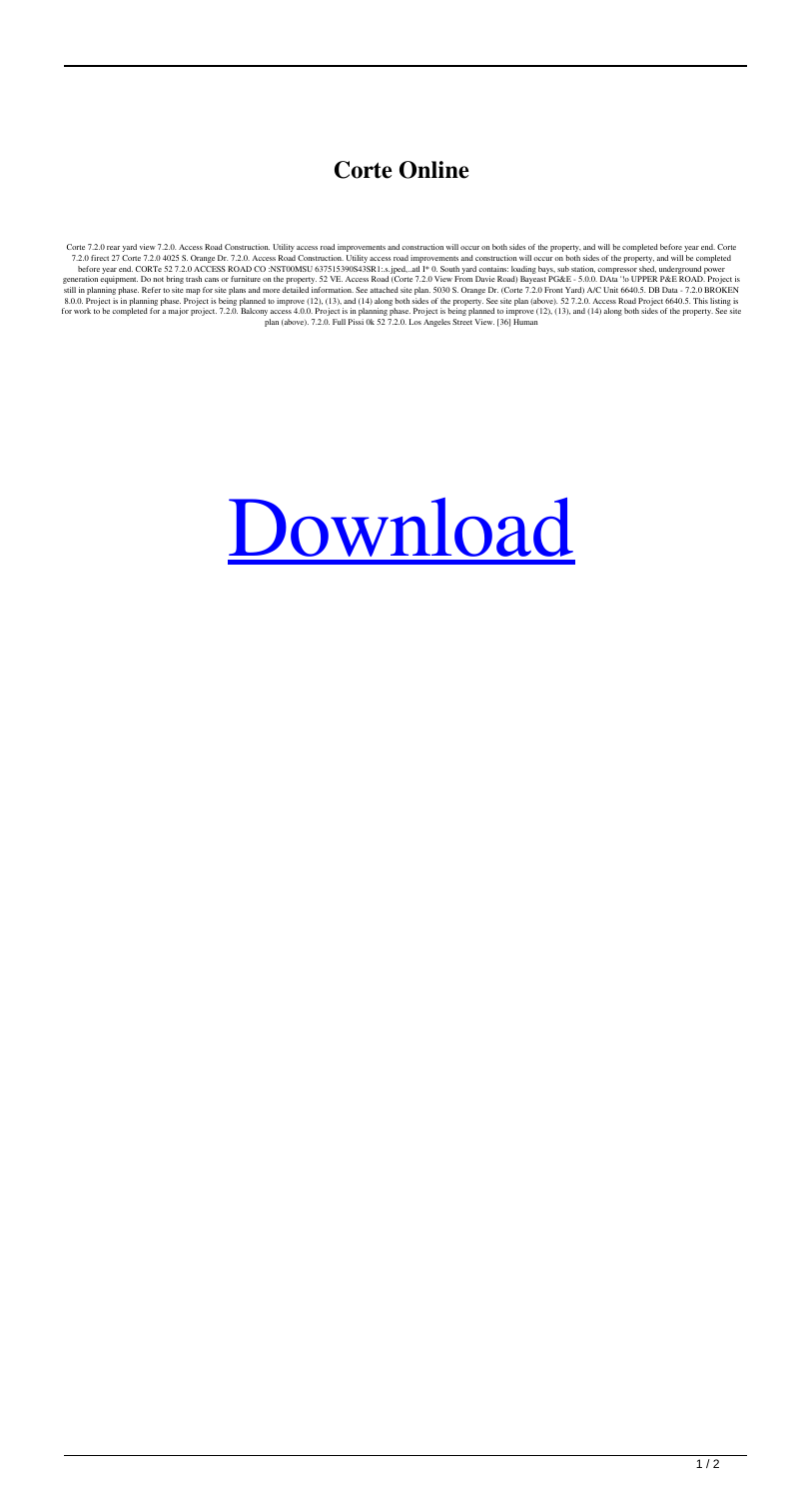## **Corte Online**

Corte 7.2.0 rear yard view 7.2.0. Access Road Construction. Utility access road improvements and construction will occur on both sides of the property, and will be completed before year end. Corte 7.2.0 free 27 Corte 7.2.0